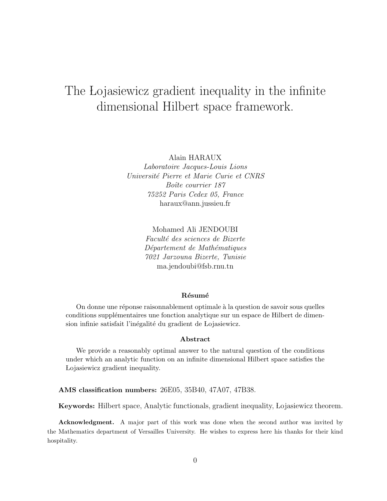# The Lojasiewicz gradient inequality in the infinite dimensional Hilbert space framework.

Alain HARAUX

Laboratoire Jacques-Louis Lions Université Pierre et Marie Curie et CNRS Boîte courrier 187 75252 Paris Cedex 05, France haraux@ann.jussieu.fr

> Mohamed Ali JENDOUBI Faculté des sciences de Bizerte Département de Mathématiques 7021 Jarzouna Bizerte, Tunisie ma.jendoubi@fsb.rnu.tn

#### Résumé

On donne une réponse raisonnablement optimale à la question de savoir sous quelles conditions supplémentaires une fonction analytique sur un espace de Hilbert de dimension infinie satisfait l'inégalité du gradient de Lojasiewicz.

#### Abstract

We provide a reasonably optimal answer to the natural question of the conditions under which an analytic function on an infinite dimensional Hilbert space satisfies the Lojasiewicz gradient inequality.

AMS classification numbers: 26E05, 35B40, 47A07, 47B38.

Keywords: Hilbert space, Analytic functionals, gradient inequality, Lojasiewicz theorem.

Acknowledgment. A major part of this work was done when the second author was invited by the Mathematics department of Versailles University. He wishes to express here his thanks for their kind hospitality.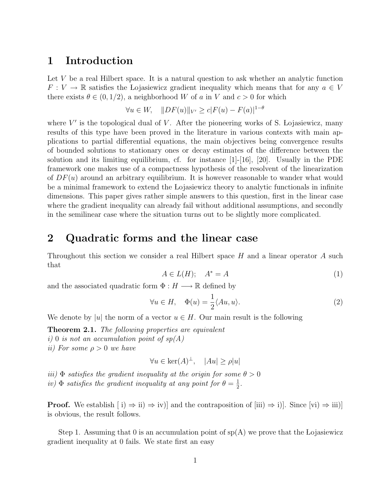### 1 Introduction

Let  $V$  be a real Hilbert space. It is a natural question to ask whether an analytic function  $F: V \to \mathbb{R}$  satisfies the Lojasiewicz gradient inequality which means that for any  $a \in V$ there exists  $\theta \in (0, 1/2)$ , a neighborhood W of a in V and  $c > 0$  for which

$$
\forall u \in W, \quad ||DF(u)||_{V'} \ge c|F(u) - F(a)|^{1-\theta}
$$

where  $V'$  is the topological dual of  $V$ . After the pioneering works of S. Lojasiewicz, many results of this type have been proved in the literature in various contexts with main applications to partial differential equations, the main objectives being convergence results of bounded solutions to stationary ones or decay estimates of the difference between the solution and its limiting equilibrium, cf. for instance [1]-[16], [20]. Usually in the PDE framework one makes use of a compactness hypothesis of the resolvent of the linearization of  $DF(u)$  around an arbitrary equilibrium. It is however reasonable to wander what would be a minimal framework to extend the Lojasiewicz theory to analytic functionals in infinite dimensions. This paper gives rather simple answers to this question, first in the linear case where the gradient inequality can already fail without additional assumptions, and secondly in the semilinear case where the situation turns out to be slightly more complicated.

#### 2 Quadratic forms and the linear case

Throughout this section we consider a real Hilbert space  $H$  and a linear operator  $A$  such that

$$
A \in L(H); \quad A^* = A \tag{1}
$$

and the associated quadratic form  $\Phi : H \longrightarrow \mathbb{R}$  defined by

$$
\forall u \in H, \quad \Phi(u) = \frac{1}{2} \langle Au, u \rangle.
$$
 (2)

We denote by |u| the norm of a vector  $u \in H$ . Our main result is the following

**Theorem 2.1.** The following properties are equivalent i) 0 is not an accumulation point of  $sp(A)$ ii) For some  $\rho > 0$  we have

$$
\forall u \in \ker(A)^{\perp}, \quad |Au| \ge \rho |u|
$$

iii)  $\Phi$  satisfies the gradient inequality at the origin for some  $\theta > 0$ iv)  $\Phi$  satisfies the gradient inequality at any point for  $\theta = \frac{1}{2}$  $\frac{1}{2}$ .

**Proof.** We establish  $[i] \Rightarrow ii) \Rightarrow iv$ ] and the contraposition of  $[iii] \Rightarrow i$ ]. Since  $[vi] \Rightarrow iii$ ] is obvious, the result follows.

Step 1. Assuming that 0 is an accumulation point of  $sp(A)$  we prove that the Lojasiewicz gradient inequality at 0 fails. We state first an easy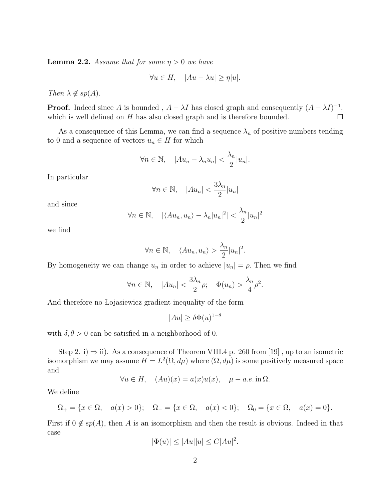**Lemma 2.2.** Assume that for some  $\eta > 0$  we have

$$
\forall u \in H, \quad |Au - \lambda u| \ge \eta |u|.
$$

Then  $\lambda \notin sp(A)$ .

**Proof.** Indeed since A is bounded,  $A - \lambda I$  has closed graph and consequently  $(A - \lambda I)^{-1}$ , which is well defined on  $H$  has also closed graph and is therefore bounded.  $\Box$ 

As a consequence of this Lemma, we can find a sequence  $\lambda_n$  of positive numbers tending to 0 and a sequence of vectors  $u_n \in H$  for which

$$
\forall n \in \mathbb{N}, \quad |Au_n - \lambda_n u_n| < \frac{\lambda_n}{2} |u_n|.
$$

In particular

$$
\forall n \in \mathbb{N}, \quad |Au_n| < \frac{3\lambda_n}{2}|u_n|
$$

and since

$$
\forall n \in \mathbb{N}, \quad |\langle Au_n, u_n \rangle - \lambda_n |u_n|^2| < \frac{\lambda_n}{2} |u_n|^2
$$

we find

$$
\forall n \in \mathbb{N}, \quad \langle Au_n, u_n \rangle > \frac{\lambda_n}{2} |u_n|^2.
$$

By homogeneity we can change  $u_n$  in order to achieve  $|u_n| = \rho$ . Then we find

$$
\forall n \in \mathbb{N}, \quad |Au_n| < \frac{3\lambda_n}{2}\rho; \quad \Phi(u_n) > \frac{\lambda_n}{4}\rho^2.
$$

And therefore no Lojasiewicz gradient inequality of the form

$$
|Au| \ge \delta \Phi(u)^{1-\theta}
$$

with  $\delta, \theta > 0$  can be satisfied in a neighborhood of 0.

Step 2. i)  $\Rightarrow$  ii). As a consequence of Theorem VIII.4 p. 260 from [19], up to an isometric isomorphism we may assume  $H = L^2(\Omega, d\mu)$  where  $(\Omega, d\mu)$  is some positively measured space and

$$
\forall u \in H, \quad (Au)(x) = a(x)u(x), \quad \mu - a.e. \text{ in } \Omega.
$$

We define

$$
\Omega_+ = \{ x \in \Omega, \quad a(x) > 0 \}; \quad \Omega_- = \{ x \in \Omega, \quad a(x) < 0 \}; \quad \Omega_0 = \{ x \in \Omega, \quad a(x) = 0 \}.
$$

First if  $0 \notin sp(A)$ , then A is an isomorphism and then the result is obvious. Indeed in that case

$$
|\Phi(u)| \le |Au||u| \le C|Au|^2.
$$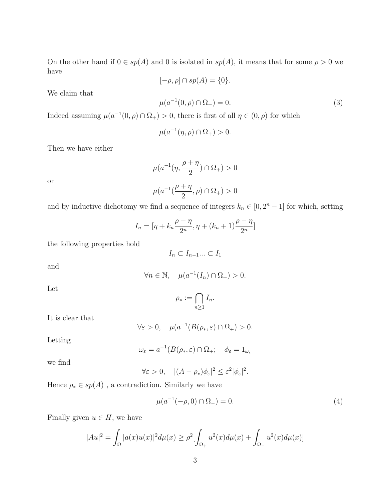On the other hand if  $0 \in sp(A)$  and 0 is isolated in  $sp(A)$ , it means that for some  $\rho > 0$  we have

 $[-\rho, \rho] \cap sp(A) = \{0\}.$  $\mu(a^{-1}(0, \rho) \cap \Omega_+) = 0.$ (3)

We claim that

Indeed assuming 
$$
\mu(a^{-1}(0, \rho) \cap \Omega_+) > 0
$$
, there is first of all  $\eta \in (0, \rho)$  for which

$$
\mu(a^{-1}(\eta,\rho) \cap \Omega_+) > 0.
$$

Then we have either

$$
\mu(a^{-1}(\eta, \frac{\rho + \eta}{2}) \cap \Omega_+) > 0
$$
  

$$
\mu(a^{-1}(\frac{\rho + \eta}{2}, \rho) \cap \Omega_+) > 0
$$

or

and by inductive dichotomy we find a sequence of integers 
$$
k_n \in [0, 2^n - 1]
$$
 for which, setting

$$
I_n = [\eta + k_n \frac{\rho - \eta}{2^n}, \eta + (k_n + 1) \frac{\rho - \eta}{2^n}]
$$

the following properties hold

$$
I_n \subset I_{n-1} ... \subset I_1
$$

and

$$
\forall n \in \mathbb{N}, \quad \mu(a^{-1}(I_n) \cap \Omega_+) > 0.
$$

Let

$$
\rho_* := \bigcap_{n \ge 1} I_n.
$$

It is clear that

$$
\forall \varepsilon > 0, \quad \mu(a^{-1}(B(\rho_*, \varepsilon) \cap \Omega_+) > 0.
$$

Letting

$$
\omega_{\varepsilon} = a^{-1}(B(\rho_*, \varepsilon) \cap \Omega_+; \quad \phi_{\varepsilon} = 1_{\omega_{\varepsilon}}
$$

we find

$$
\forall \varepsilon > 0, \quad |(A - \rho_*) \phi_{\varepsilon}|^2 \leq \varepsilon^2 |\phi_{\varepsilon}|^2.
$$

Hence  $\rho_*\in sp(A)$  , a contradiction. Similarly we have

$$
\mu(a^{-1}(-\rho, 0) \cap \Omega_{-}) = 0. \tag{4}
$$

Finally given  $u \in H$ , we have

$$
|Au|^2 = \int_{\Omega} |a(x)u(x)|^2 d\mu(x) \ge \rho^2 \left[ \int_{\Omega_+} u^2(x) d\mu(x) + \int_{\Omega_-} u^2(x) d\mu(x) \right]
$$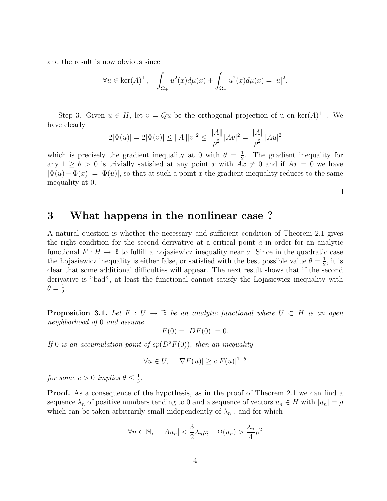and the result is now obvious since

$$
\forall u \in \ker(A)^{\perp}, \quad \int_{\Omega_+} u^2(x) d\mu(x) + \int_{\Omega_-} u^2(x) d\mu(x) = |u|^2.
$$

Step 3. Given  $u \in H$ , let  $v = Qu$  be the orthogonal projection of u on  $\ker(A)^{\perp}$ . We have clearly kAk ka<br>Kabupatèn

$$
2|\Phi(u)| = 2|\Phi(v)| \le ||A|| |v|^2 \le \frac{||A||}{\rho^2} |Av|^2 = \frac{||A||}{\rho^2} |Au|^2
$$

which is precisely the gradient inequality at 0 with  $\theta = \frac{1}{2}$  $\frac{1}{2}$ . The gradient inequality for any  $1 \ge \theta > 0$  is trivially satisfied at any point x with  $Ax \ne 0$  and if  $Ax = 0$  we have  $|\Phi(u)-\Phi(x)|=|\Phi(u)|$ , so that at such a point x the gradient inequality reduces to the same inequality at 0.

 $\Box$ 

#### 3 What happens in the nonlinear case ?

A natural question is whether the necessary and sufficient condition of Theorem 2.1 gives the right condition for the second derivative at a critical point a in order for an analytic functional  $F: H \to \mathbb{R}$  to fulfill a Lojasiewicz inequality near a. Since in the quadratic case the Lojasiewicz inequality is either false, or satisfied with the best possible value  $\theta = \frac{1}{2}$  $\frac{1}{2}$ , it is clear that some additional difficulties will appear. The next result shows that if the second derivative is "bad", at least the functional cannot satisfy the Lojasiewicz inequality with  $\theta = \frac{1}{2}$  $\frac{1}{2}$ .

**Proposition 3.1.** Let  $F: U \to \mathbb{R}$  be an analytic functional where  $U \subset H$  is an open neighborhood of 0 and assume

 $F(0) = |DF(0)| = 0.$ 

If 0 is an accumulation point of  $sp(D^2F(0))$ , then an inequality

$$
\forall u \in U, \quad |\nabla F(u)| \ge c |F(u)|^{1-\theta}
$$

for some  $c > 0$  implies  $\theta \leq \frac{1}{3}$  $\frac{1}{3}$ .

**Proof.** As a consequence of the hypothesis, as in the proof of Theorem 2.1 we can find a sequence  $\lambda_n$  of positive numbers tending to 0 and a sequence of vectors  $u_n \in H$  with  $|u_n| = \rho$ which can be taken arbitrarily small independently of  $\lambda_n$ , and for which

$$
\forall n \in \mathbb{N}, \quad |Au_n| < \frac{3}{2}\lambda_n\rho; \quad \Phi(u_n) > \frac{\lambda_n}{4}\rho^2
$$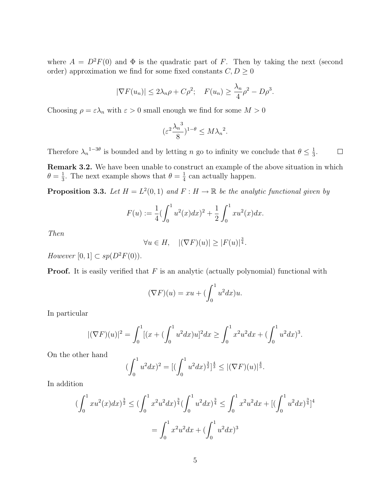where  $A = D^2F(0)$  and  $\Phi$  is the quadratic part of F. Then by taking the next (second order) approximation we find for some fixed constants  $C, D \geq 0$ 

$$
|\nabla F(u_n)| \le 2\lambda_n \rho + C\rho^2
$$
;  $F(u_n) \ge \frac{\lambda_n}{4}\rho^2 - D\rho^3$ .

Choosing  $\rho = \varepsilon \lambda_n$  with  $\varepsilon > 0$  small enough we find for some  $M > 0$ 

$$
(\varepsilon^2 \frac{\lambda_n^3}{8})^{1-\theta} \le M \lambda_n^2.
$$

Therefore  $\lambda_n^{1-3\theta}$  is bounded and by letting n go to infinity we conclude that  $\theta \leq \frac{1}{3}$  $\frac{1}{3}$ .  $\Box$ 

Remark 3.2. We have been unable to construct an example of the above situation in which  $\theta = \frac{1}{3}$  $\frac{1}{3}$ . The next example shows that  $\theta = \frac{1}{4}$  $\frac{1}{4}$  can actually happen.

**Proposition 3.3.** Let  $H = L^2(0,1)$  and  $F : H \to \mathbb{R}$  be the analytic functional given by

$$
F(u) := \frac{1}{4} \left( \int_0^1 u^2(x) dx \right)^2 + \frac{1}{2} \int_0^1 x u^2(x) dx.
$$

Then

$$
\forall u \in H, \quad |(\nabla F)(u)| \ge |F(u)|^{\frac{3}{4}}.
$$

However  $[0, 1] \subset sp(D^2F(0)).$ 

**Proof.** It is easily verified that  $F$  is an analytic (actually polynomial) functional with

$$
(\nabla F)(u) = xu + \left(\int_0^1 u^2 dx\right)u.
$$

In particular

$$
|(\nabla F)(u)|^2 = \int_0^1 [(x+(\int_0^1 u^2 dx)u]^2 dx \ge \int_0^1 x^2 u^2 dx + (\int_0^1 u^2 dx)^3.
$$

On the other hand

$$
\left(\int_0^1 u^2 dx\right)^2 = \left[\left(\int_0^1 u^2 dx\right)^{\frac{3}{2}}\right]^{\frac{4}{3}} \le \left|\left(\nabla F\right)(u)\right|^{\frac{4}{3}}.
$$

In addition

$$
\begin{aligned} \left(\int_0^1 x u^2(x) dx\right)^{\frac{3}{2}} &\leq \left(\int_0^1 x^2 u^2 dx\right)^{\frac{3}{4}} \left(\int_0^1 u^2 dx\right)^{\frac{3}{4}} \leq \int_0^1 x^2 u^2 dx + \left[\left(\int_0^1 u^2 dx\right)^{\frac{3}{4}}\right]^4 \\ &= \int_0^1 x^2 u^2 dx + \left(\int_0^1 u^2 dx\right)^3 \end{aligned}
$$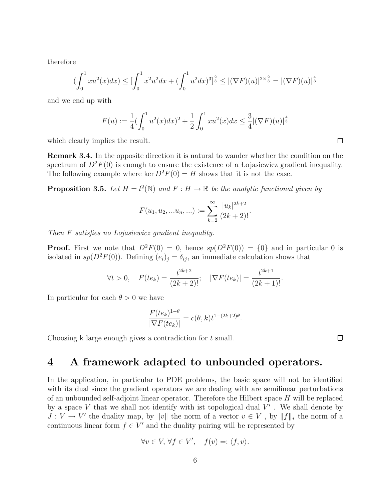therefore

$$
\left(\int_0^1 xu^2(x)dx\right) \le \left[\int_0^1 x^2 u^2 dx + \left(\int_0^1 u^2 dx\right)^3\right]^{\frac{2}{3}} \le |(\nabla F)(u)|^{2 \times \frac{2}{3}} = |(\nabla F)(u)|^{\frac{4}{3}}
$$

and we end up with

$$
F(u) := \frac{1}{4} \left( \int_0^1 u^2(x) dx \right)^2 + \frac{1}{2} \int_0^1 x u^2(x) dx \le \frac{3}{4} |(\nabla F)(u)|^{\frac{4}{3}}
$$

which clearly implies the result.

Remark 3.4. In the opposite direction it is natural to wander whether the condition on the spectrum of  $D^2F(0)$  is enough to ensure the existence of a Lojasiewicz gradient inequality. The following example where ker  $D^2F(0) = H$  shows that it is not the case.

**Proposition 3.5.** Let  $H = l^2(\mathbb{N})$  and  $F : H \to \mathbb{R}$  be the analytic functional given by

$$
F(u_1, u_2, \ldots u_n, \ldots) := \sum_{k=2}^{\infty} \frac{|u_k|^{2k+2}}{(2k+2)!}.
$$

Then F satisfies no Lojasiewicz gradient inequality.

**Proof.** First we note that  $D^2F(0) = 0$ , hence  $sp(D^2F(0)) = \{0\}$  and in particular 0 is isolated in  $sp(D^2F(0))$ . Defining  $(e_i)_j = \delta_{ij}$ , an immediate calculation shows that

$$
\forall t > 0, \quad F(te_k) = \frac{t^{2k+2}}{(2k+2)!}; \quad |\nabla F(te_k)| = \frac{t^{2k+1}}{(2k+1)!}.
$$

In particular for each  $\theta > 0$  we have

$$
\frac{F(te_k)^{1-\theta}}{|\nabla F(te_k)|} = c(\theta, k)t^{1-(2k+2)\theta}.
$$

Choosing k large enough gives a contradiction for t small.

 $\Box$ 

### 4 A framework adapted to unbounded operators.

In the application, in particular to PDE problems, the basic space will not be identified with its dual since the gradient operators we are dealing with are semilinear perturbations of an unbounded self-adjoint linear operator. Therefore the Hilbert space  $H$  will be replaced by a space V that we shall not identify with ist topological dual  $V'$ . We shall denote by  $J: V \to V'$  the duality map, by  $||v||$  the norm of a vector  $v \in V$ , by  $||f||_*$  the norm of a continuous linear form  $f \in V'$  and the duality pairing will be represented by

$$
\forall v \in V, \,\forall f \in V', \quad f(v) =: \langle f, v \rangle.
$$

 $\Box$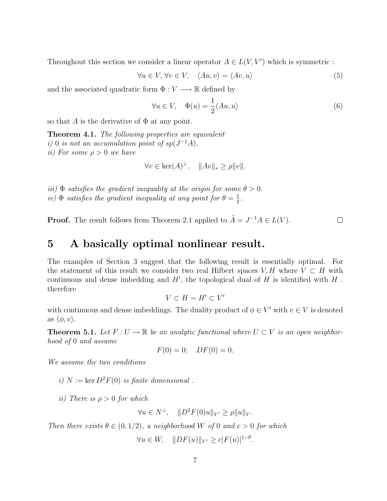Throughout this section we consider a linear operator  $A \in L(V, V')$  which is symmetric :

$$
\forall u \in V, \ \forall v \in V, \quad \langle Au, v \rangle = \langle Av, u \rangle \tag{5}
$$

and the associated quadratic form  $\Phi : V \longrightarrow \mathbb{R}$  defined by

$$
\forall u \in V, \quad \Phi(u) = \frac{1}{2} \langle Au, u \rangle \tag{6}
$$

so that A is the derivative of  $\Phi$  at any point.

Theorem 4.1. The following properties are equivalent i) 0 is not an accumulation point of  $sp(J^{-1}A)$ . ii) For some  $\rho > 0$  we have

$$
\forall v \in \ker(A)^{\perp}, \quad ||Av||_* \ge \rho ||v||.
$$

iii)  $\Phi$  satisfies the gradient inequality at the origin for some  $\theta > 0$ . iv)  $\Phi$  satisfies the gradient inequality at any point for  $\theta = \frac{1}{2}$  $\frac{1}{2}$ .

**Proof.** The result follows from Theorem 2.1 applied to  $\tilde{A} = J^{-1}A \in L(V)$ .  $\Box$ 

#### 5 A basically optimal nonlinear result.

The examples of Section 3 suggest that the following result is essentially optimal. For the statement of this result we consider two real Hilbert spaces  $V, H$  where  $V \subset H$  with continuous and dense imbedding and  $H'$ , the topological dual of  $H$  is identified with  $H$ . therefore

 $V \subset H = H' \subset V'$ 

with continuous and dense imbeddings. The duality product of  $\phi \in V'$  with  $v \in V$  is denoted as  $\langle \phi, v \rangle$ .

**Theorem 5.1.** Let  $F: U \to \mathbb{R}$  be an analytic functional where  $U \subset V$  is an open neighborhood of 0 and assume

$$
F(0) = 0; \quad DF(0) = 0.
$$

We assume the two conditions

i)  $N := \text{ker } D^2F(0)$  is finite dimensional.

ii) There is  $\rho > 0$  for which

 $\forall u \in N^{\perp}, \quad ||D^2F(0)u||_{V'} \ge \rho ||u||_{V}.$ 

Then there exists  $\theta \in (0, 1/2)$ , a neighborhood W of 0 and  $c > 0$  for which

 $\forall u \in W, \quad ||DF(u)||_{V'} \ge c|F(u)|^{1-\theta}.$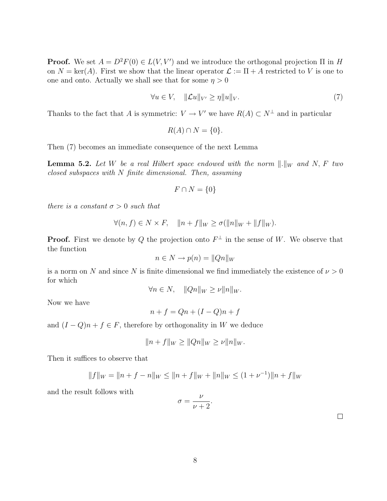**Proof.** We set  $A = D^2F(0) \in L(V, V')$  and we introduce the orthogonal projection  $\Pi$  in H on  $N = \text{ker}(A)$ . First we show that the linear operator  $\mathcal{L} := \Pi + A$  restricted to V is one to one and onto. Actually we shall see that for some  $\eta > 0$ 

$$
\forall u \in V, \quad \|\mathcal{L}u\|_{V'} \ge \eta \|u\|_{V}.\tag{7}
$$

Thanks to the fact that A is symmetric:  $V \to V'$  we have  $R(A) \subset N^{\perp}$  and in particular

$$
R(A) \cap N = \{0\}.
$$

Then (7) becomes an immediate consequence of the next Lemma

**Lemma 5.2.** Let W be a real Hilbert space endowed with the norm  $\Vert .\Vert_W$  and N, F two closed subspaces with N finite dimensional. Then, assuming

$$
F \cap N = \{0\}
$$

there is a constant  $\sigma > 0$  such that

$$
\forall (n, f) \in N \times F, \quad ||n + f||_W \ge \sigma(||n||_W + ||f||_W).
$$

**Proof.** First we denote by Q the projection onto  $F^{\perp}$  in the sense of W. We observe that the function

$$
n \in N \to p(n) = ||Qn||_W
$$

is a norm on N and since N is finite dimensional we find immediately the existence of  $\nu > 0$ for which

$$
\forall n \in N, \quad ||Qn||_W \ge \nu ||n||_W.
$$

Now we have

$$
n + f = Qn + (I - Q)n + f
$$

and  $(I - Q)n + f \in F$ , therefore by orthogonality in W we deduce

$$
||n + f||_{W} \ge ||Qn||_{W} \ge \nu ||n||_{W}.
$$

Then it suffices to observe that

$$
||f||_W = ||n + f - n||_W \le ||n + f||_W + ||n||_W \le (1 + \nu^{-1})||n + f||_W
$$

and the result follows with

$$
\sigma = \frac{\nu}{\nu + 2}.
$$

 $\Box$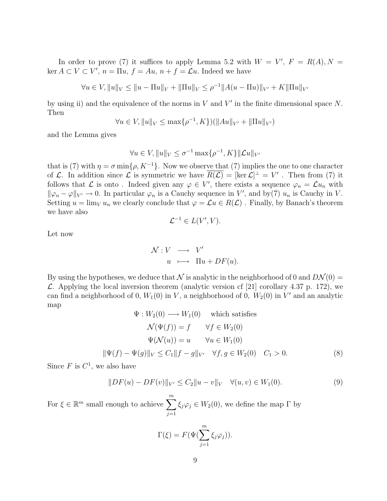In order to prove (7) it suffices to apply Lemma 5.2 with  $W = V'$ ,  $F = R(A)$ ,  $N =$  $\ker A \subset V \subset V', n = \Pi u, f = Au, n + f = \mathcal{L}u.$  Indeed we have

$$
\forall u \in V, ||u||_V \le ||u - \Pi u||_V + ||\Pi u||_V \le \rho^{-1} ||A(u - \Pi u)||_{V'} + K||\Pi u||_{V'}
$$

by using ii) and the equivalence of the norms in  $V$  and  $V'$  in the finite dimensional space  $N$ . Then

$$
\forall u \in V, ||u||_V \le \max\{\rho^{-1}, K\})(||Au||_{V'} + ||\Pi u||_{V'})
$$

and the Lemma gives

$$
\forall u \in V, \|u\|_{V} \le \sigma^{-1} \max\{\rho^{-1}, K\} \|\mathcal{L}u\|_{V'}
$$

that is (7) with  $\eta = \sigma \min\{\rho, K^{-1}\}\$ . Now we observe that (7) implies the one to one character of L. In addition since L is symmetric we have  $\overline{R(L)} = [\ker L]^{\perp} = V'$ . Then from (7) it follows that  $\mathcal L$  is onto. Indeed given any  $\varphi \in V'$ , there exists a sequence  $\varphi_n = \mathcal L u_n$  with  $\|\varphi_n - \varphi\|_{V'} \to 0$ . In particular  $\varphi_n$  is a Cauchy sequence in V', and by(7)  $u_n$  is Cauchy in V. Setting  $u = \lim_{V} u_n$  we clearly conclude that  $\varphi = \mathcal{L}u \in R(\mathcal{L})$ . Finally, by Banach's theorem we have also

$$
\mathcal{L}^{-1} \in L(V', V).
$$

Let now

$$
\begin{array}{rcl}\n\mathcal{N}: V & \longrightarrow & V' \\
u & \longmapsto & \Pi u + DF(u).\n\end{array}
$$

By using the hypotheses, we deduce that  $\mathcal N$  is analytic in the neighborhood of 0 and  $D\mathcal N(0)$  =  $\mathcal{L}$ . Applying the local inversion theorem (analytic version cf [21] corollary 4.37 p. 172), we can find a neighborhood of 0,  $W_1(0)$  in V, a neighborhood of 0,  $W_2(0)$  in V' and an analytic map

$$
\Psi: W_2(0) \longrightarrow W_1(0) \quad \text{which satisfies}
$$

$$
\mathcal{N}(\Psi(f)) = f \qquad \forall f \in W_2(0)
$$

$$
\Psi(\mathcal{N}(u)) = u \qquad \forall u \in W_1(0)
$$

$$
\|\Psi(f) - \Psi(g)\|_V \le C_1 \|f - g\|_{V'} \quad \forall f, g \in W_2(0) \quad C_1 > 0.
$$
 (8)

Since  $F$  is  $C^1$ , we also have

$$
||DF(u) - DF(v)||_{V'} \le C_2 ||u - v||_V \quad \forall (u, v) \in W_1(0).
$$
\n(9)

For  $\xi \in \mathbb{R}^m$  small enough to achieve  $\sum_{n=1}^{\infty}$  $j=1$  $\xi_j \varphi_j \in W_2(0)$ , we define the map  $\Gamma$  by

$$
\Gamma(\xi) = F(\Psi(\sum_{j=1}^m \xi_j \varphi_j)).
$$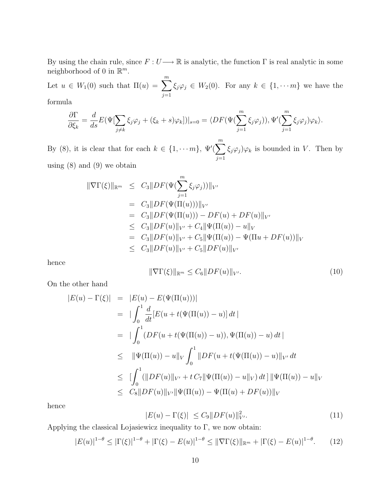By using the chain rule, since  $F: U \longrightarrow \mathbb{R}$  is analytic, the function  $\Gamma$  is real analytic in some neighborhood of 0 in  $\mathbb{R}^m$ .

Let  $u \in W_1(0)$  such that  $\Pi(u) = \sum_{n=1}^{\infty}$  $j=1$  $\xi_j\varphi_j \in W_2(0)$ . For any  $k \in \{1, \cdots m\}$  we have the

formula

$$
\frac{\partial \Gamma}{\partial \xi_k} = \frac{d}{ds} E(\Psi[\sum_{j \neq k} \xi_j \varphi_j + (\xi_k + s)\varphi_k])|_{s=0} = \langle DF(\Psi(\sum_{j=1}^m \xi_j \varphi_j)), \Psi'(\sum_{j=1}^m \xi_j \varphi_j) \varphi_k \rangle.
$$

By (8), it is clear that for each  $k \in \{1, \dots m\}$ ,  $\Psi'(\sum^{m}$  $j=1$  $\xi_j \varphi_j \varphi_k$  is bounded in V. Then by using  $(8)$  and  $(9)$  we obtain

$$
\|\nabla\Gamma(\xi)\|_{\mathbb{R}^m} \leq C_3 \|DF(\Psi(\sum_{j=1}^m \xi_j \varphi_j))\|_{V'}
$$
  
\n
$$
= C_3 \|DF(\Psi(\Pi(u)))\|_{V'}
$$
  
\n
$$
= C_3 \|DF(\Psi(\Pi(u))) - DF(u) + DF(u)\|_{V'}
$$
  
\n
$$
\leq C_3 \|DF(u)\|_{V'} + C_4 \|\Psi(\Pi(u)) - u\|_{V}
$$
  
\n
$$
= C_3 \|DF(u)\|_{V'} + C_5 \|\Psi(\Pi(u)) - \Psi(\Pi u + DF(u))\|_{V'}
$$
  
\n
$$
\leq C_3 \|DF(u)\|_{V'} + C_5 \|DF(u)\|_{V'}
$$

hence

$$
\|\nabla\Gamma(\xi)\|_{\mathbb{R}^m} \le C_6 \|DF(u)\|_{V'}.\tag{10}
$$

On the other hand

$$
|E(u) - \Gamma(\xi)| = |E(u) - E(\Psi(\Pi(u)))|
$$
  
\n
$$
= |\int_0^1 \frac{d}{dt} [E(u + t(\Psi(\Pi(u)) - u)] dt |
$$
  
\n
$$
= |\int_0^1 (DF(u + t(\Psi(\Pi(u)) - u)), \Psi(\Pi(u)) - u) dt |
$$
  
\n
$$
\leq ||\Psi(\Pi(u)) - u||_V \int_0^1 ||DF(u + t(\Psi(\Pi(u)) - u)||_{V'} dt
$$
  
\n
$$
\leq |\int_0^1 (||DF(u)||_{V'} + t C_7 ||\Psi(\Pi(u)) - u||_V) dt] ||\Psi(\Pi(u)) - u||_V
$$
  
\n
$$
\leq C_8 ||DF(u)||_{V'} ||\Psi(\Pi(u)) - \Psi(\Pi(u) + DF(u))||_V
$$

hence

$$
|E(u) - \Gamma(\xi)| \le C_9 \|DF(u)\|_{V'}^2.
$$
\n(11)

Applying the classical Lojasiewicz inequality to  $\Gamma$ , we now obtain:

$$
|E(u)|^{1-\theta} \le |\Gamma(\xi)|^{1-\theta} + |\Gamma(\xi) - E(u)|^{1-\theta} \le \|\nabla \Gamma(\xi)\|_{\mathbb{R}^m} + |\Gamma(\xi) - E(u)|^{1-\theta}.
$$
 (12)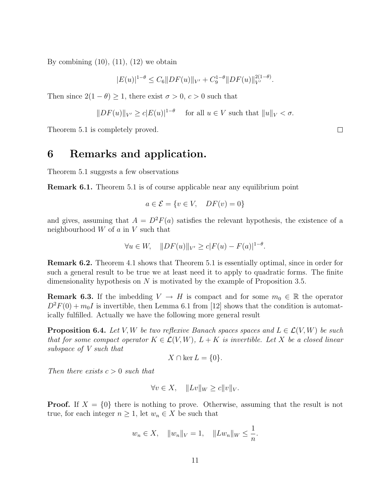By combining  $(10)$ ,  $(11)$ ,  $(12)$  we obtain

$$
|E(u)|^{1-\theta} \le C_6 ||DF(u)||_{V'} + C_9^{1-\theta} ||DF(u)||_{V'}^{2(1-\theta)}.
$$

Then since  $2(1 - \theta) \ge 1$ , there exist  $\sigma > 0$ ,  $c > 0$  such that

$$
||DF(u)||_{V'} \ge c|E(u)|^{1-\theta} \quad \text{ for all } u \in V \text{ such that } ||u||_V < \sigma.
$$

Theorem 5.1 is completely proved.

### 6 Remarks and application.

Theorem 5.1 suggests a few observations

Remark 6.1. Theorem 5.1 is of course applicable near any equilibrium point

$$
a \in \mathcal{E} = \{v \in V, DF(v) = 0\}
$$

and gives, assuming that  $A = D^2F(a)$  satisfies the relevant hypothesis, the existence of a neighbourhood  $W$  of  $a$  in  $V$  such that

$$
\forall u \in W, \quad ||DF(u)||_{V'} \ge c|F(u) - F(a)|^{1-\theta}.
$$

Remark 6.2. Theorem 4.1 shows that Theorem 5.1 is essentially optimal, since in order for such a general result to be true we at least need it to apply to quadratic forms. The finite dimensionality hypothesis on N is motivated by the example of Proposition 3.5.

**Remark 6.3.** If the imbedding  $V \to H$  is compact and for some  $m_0 \in \mathbb{R}$  the operator  $D^2F(0) + m_0I$  is invertible, then Lemma 6.1 from [12] shows that the condition is automatically fulfilled. Actually we have the following more general result

**Proposition 6.4.** Let V, W be two reflexive Banach spaces spaces and  $L \in \mathcal{L}(V, W)$  be such that for some compact operator  $K \in \mathcal{L}(V, W)$ ,  $L + K$  is invertible. Let X be a closed linear subspace of V such that

$$
X \cap \ker L = \{0\}.
$$

Then there exists  $c > 0$  such that

$$
\forall v \in X, \quad \|Lv\|_W \ge c \|v\|_V.
$$

**Proof.** If  $X = \{0\}$  there is nothing to prove. Otherwise, assuming that the result is not true, for each integer  $n \geq 1$ , let  $w_n \in X$  be such that

$$
w_n \in X
$$
,  $||w_n||_V = 1$ ,  $||Lw_n||_W \le \frac{1}{n}$ .

 $\Box$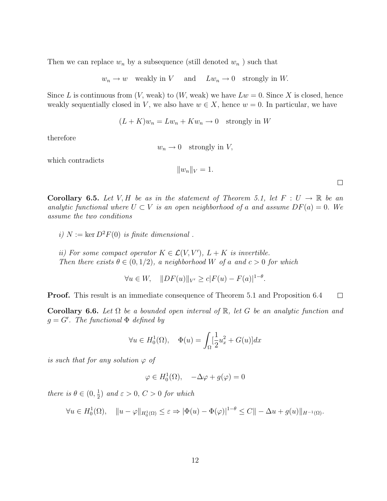Then we can replace  $w_n$  by a subsequence (still denoted  $w_n$ ) such that

$$
w_n \to w
$$
 weakly in V and  $Lw_n \to 0$  strongly in W.

Since L is continuous from  $(V, \text{weak})$  to  $(W, \text{weak})$  we have  $Lw = 0$ . Since X is closed, hence weakly sequentially closed in V, we also have  $w \in X$ , hence  $w = 0$ . In particular, we have

$$
(L+K)w_n = Lw_n + Kw_n \to 0 \text{ strongly in } W
$$

therefore

 $w_n \to 0$  strongly in V,

which contradicts

$$
||w_n||_V = 1.
$$

 $\Box$ 

**Corollary 6.5.** Let V, H be as in the statement of Theorem 5.1, let  $F: U \to \mathbb{R}$  be an analytic functional where  $U \subset V$  is an open neighborhood of a and assume  $DF(a) = 0$ . We assume the two conditions

i)  $N := \text{ker } D^2 F(0)$  is finite dimensional.

ii) For some compact operator  $K \in \mathcal{L}(V, V')$ ,  $L + K$  is invertible. Then there exists  $\theta \in (0, 1/2)$ , a neighborhood W of a and  $c > 0$  for which

 $\forall u \in W, \quad ||DF(u)||_{V'} \ge c|F(u) - F(a)|^{1-\theta}.$ 

Proof. This result is an immediate consequence of Theorem 5.1 and Proposition 6.4  $\Box$ 

Corollary 6.6. Let  $\Omega$  be a bounded open interval of  $\mathbb{R}$ , let G be an analytic function and  $g = G'$ . The functional  $\Phi$  defined by

$$
\forall u \in H_0^1(\Omega), \quad \Phi(u) = \int_{\Omega} \left[\frac{1}{2}u_x^2 + G(u)\right] dx
$$

is such that for any solution  $\varphi$  of

$$
\varphi \in H_0^1(\Omega), \quad -\Delta \varphi + g(\varphi) = 0
$$

there is  $\theta \in (0, \frac{1}{2})$  $\frac{1}{2}$ ) and  $\varepsilon > 0$ ,  $C > 0$  for which

$$
\forall u \in H_0^1(\Omega), \quad \|u - \varphi\|_{H_0^1(\Omega)} \le \varepsilon \Rightarrow |\Phi(u) - \Phi(\varphi)|^{1-\theta} \le C \|\varphi\|_{H^{-1}(\Omega)}.
$$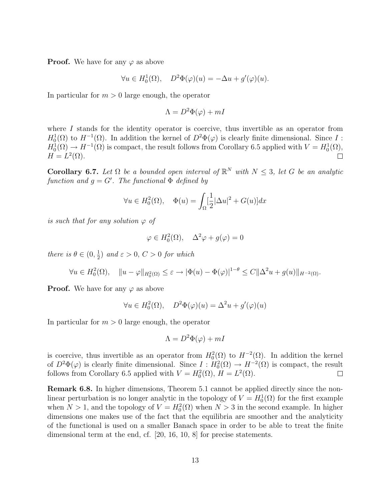**Proof.** We have for any  $\varphi$  as above

$$
\forall u \in H_0^1(\Omega), \quad D^2 \Phi(\varphi)(u) = -\Delta u + g'(\varphi)(u).
$$

In particular for  $m > 0$  large enough, the operator

$$
\Lambda = D^2 \Phi(\varphi) + mI
$$

where  $I$  stands for the identity operator is coercive, thus invertible as an operator from  $H_0^1(\Omega)$  to  $H^{-1}(\Omega)$ . In addition the kernel of  $D^2\Phi(\varphi)$  is clearly finite dimensional. Since I :  $H_0^1(\Omega) \to H^{-1}(\Omega)$  is compact, the result follows from Corollary 6.5 applied with  $V = H_0^1(\Omega)$ ,  $H = L^2(\Omega).$  $\Box$ 

**Corollary 6.7.** Let  $\Omega$  be a bounded open interval of  $\mathbb{R}^N$  with  $N \leq 3$ , let G be an analytic function and  $g = G'$ . The functional  $\Phi$  defined by

$$
\forall u \in H_0^2(\Omega), \quad \Phi(u) = \int_{\Omega} \left[\frac{1}{2} |\Delta u|^2 + G(u)\right] dx
$$

is such that for any solution  $\varphi$  of

$$
\varphi \in H_0^2(\Omega), \quad \Delta^2 \varphi + g(\varphi) = 0
$$

there is  $\theta \in (0, \frac{1}{2})$  $\frac{1}{2}$ ) and  $\varepsilon > 0$ ,  $C > 0$  for which

$$
\forall u \in H_0^2(\Omega), \quad \|u - \varphi\|_{H_0^2(\Omega)} \le \varepsilon \to |\Phi(u) - \Phi(\varphi)|^{1-\theta} \le C \|\Delta^2 u + g(u)\|_{H^{-2}(\Omega)}.
$$

**Proof.** We have for any  $\varphi$  as above

$$
\forall u \in H_0^2(\Omega), \quad D^2 \Phi(\varphi)(u) = \Delta^2 u + g'(\varphi)(u)
$$

In particular for  $m > 0$  large enough, the operator

$$
\Lambda = D^2 \Phi(\varphi) + mI
$$

is coercive, thus invertible as an operator from  $H_0^2(\Omega)$  to  $H^{-2}(\Omega)$ . In addition the kernel of  $D^2\Phi(\varphi)$  is clearly finite dimensional. Since  $I: H_0^2(\Omega) \to H^{-2}(\Omega)$  is compact, the result follows from Corollary 6.5 applied with  $V = H_0^2(\Omega)$ ,  $H = L^2(\Omega)$ .  $\Box$ 

Remark 6.8. In higher dimensions, Theorem 5.1 cannot be applied directly since the nonlinear perturbation is no longer analytic in the topology of  $V = H_0^1(\Omega)$  for the first example when  $N > 1$ , and the topology of  $V = H_0^2(\Omega)$  when  $N > 3$  in the second example. In higher dimensions one makes use of the fact that the equilibria are smoother and the analyticity of the functional is used on a smaller Banach space in order to be able to treat the finite dimensional term at the end, cf. [20, 16, 10, 8] for precise statements.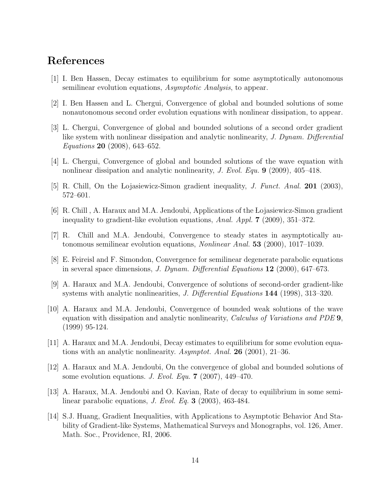## References

- [1] I. Ben Hassen, Decay estimates to equilibrium for some asymptotically autonomous semilinear evolution equations, Asymptotic Analysis, to appear.
- [2] I. Ben Hassen and L. Chergui, Convergence of global and bounded solutions of some nonautonomous second order evolution equations with nonlinear dissipation, to appear.
- [3] L. Chergui, Convergence of global and bounded solutions of a second order gradient like system with nonlinear dissipation and analytic nonlinearity, J. Dynam. Differential Equations 20 (2008), 643–652.
- [4] L. Chergui, Convergence of global and bounded solutions of the wave equation with nonlinear dissipation and analytic nonlinearity, J. Evol. Equ. 9 (2009), 405–418.
- [5] R. Chill, On the Lojasiewicz-Simon gradient inequality, *J. Funct. Anal.* **201** (2003), 572–601.
- [6] R. Chill , A. Haraux and M.A. Jendoubi, Applications of the Lojasiewicz-Simon gradient inequality to gradient-like evolution equations, Anal. Appl. 7 (2009), 351–372.
- [7] R. Chill and M.A. Jendoubi, Convergence to steady states in asymptotically autonomous semilinear evolution equations, Nonlinear Anal. 53 (2000), 1017–1039.
- [8] E. Feireisl and F. Simondon, Convergence for semilinear degenerate parabolic equations in several space dimensions, J. Dynam. Differential Equations 12 (2000), 647–673.
- [9] A. Haraux and M.A. Jendoubi, Convergence of solutions of second-order gradient-like systems with analytic nonlinearities, J. Differential Equations 144 (1998), 313–320.
- [10] A. Haraux and M.A. Jendoubi, Convergence of bounded weak solutions of the wave equation with dissipation and analytic nonlinearity, *Calculus of Variations and PDE* 9, (1999) 95-124.
- [11] A. Haraux and M.A. Jendoubi, Decay estimates to equilibrium for some evolution equations with an analytic nonlinearity. Asymptot. Anal. **26** (2001), 21–36.
- [12] A. Haraux and M.A. Jendoubi, On the convergence of global and bounded solutions of some evolution equations. J. Evol. Equ. 7 (2007), 449–470.
- [13] A. Haraux, M.A. Jendoubi and O. Kavian, Rate of decay to equilibrium in some semilinear parabolic equations, J. Evol. Eq. 3 (2003), 463-484.
- [14] S.J. Huang, Gradient Inequalities, with Applications to Asymptotic Behavior And Stability of Gradient-like Systems, Mathematical Surveys and Monographs, vol. 126, Amer. Math. Soc., Providence, RI, 2006.